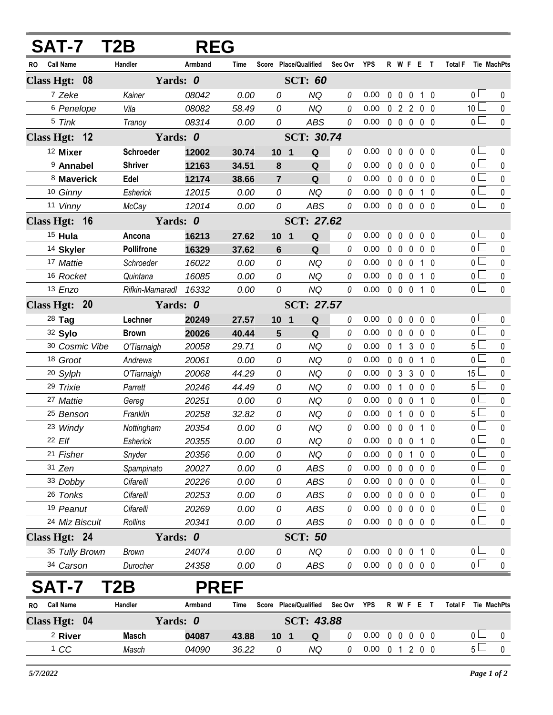|                  | <b>SAT-7</b>        | T2B               | <b>REG</b> |             |                       |                       |          |                            |              |                |                   |                   |                |                |             |
|------------------|---------------------|-------------------|------------|-------------|-----------------------|-----------------------|----------|----------------------------|--------------|----------------|-------------------|-------------------|----------------|----------------|-------------|
| Call Name<br>RO. |                     | Handler           | Armband    | Time        |                       | Score Place/Qualified | Sec Ovr  | <b>YPS</b>                 |              |                | R W F E T         |                   |                | <b>Total F</b> | Tie MachPts |
| Class Hgt: 08    |                     | Yards: 0          |            |             |                       | <b>SCT: 60</b>        |          |                            |              |                |                   |                   |                |                |             |
|                  | 7 Zeke              | Kainer            | 08042      | 0.00        | 0                     | <b>NQ</b>             | 0        | 0.00                       |              |                | 0 0 0 1 0         |                   |                | $0-$           | 0           |
|                  | 6 Penelope          | Vila              | 08082      | 58.49       | 0                     | <b>NQ</b>             | 0        | 0.00                       |              |                | 0 2 2 0 0         |                   |                | $10\square$    | $\pmb{0}$   |
|                  | 5 Tink              | Tranoy            | 08314      | 0.00        | 0                     | <b>ABS</b>            | 0        | 0.00                       |              |                | 00000             |                   |                | $\overline{0}$ | $\mathbf 0$ |
| Class Hgt: 12    |                     | Yards: 0          |            |             |                       | <b>SCT: 30.74</b>     |          |                            |              |                |                   |                   |                |                |             |
|                  | <sup>12</sup> Mixer | Schroeder         | 12002      | 30.74       | 10 <sub>1</sub>       | Q                     | $\theta$ | 0.00                       |              | $0\quad 0$     |                   | $0\quad 0\quad 0$ |                | 0 <sub>1</sub> | 0           |
|                  | 9 Annabel           | <b>Shriver</b>    | 12163      | 34.51       | 8                     | Q                     | $\theta$ | 0.00                       | $\mathbf 0$  | $\mathbf 0$    | 0                 |                   | 0 <sub>0</sub> | $\overline{0}$ | $\pmb{0}$   |
|                  | 8 Maverick          | Edel              | 12174      | 38.66       | $\overline{7}$        | Q                     | 0        | 0.00                       |              | $0\quad 0$     | $\mathbf 0$       | $0\quad 0$        |                | $\overline{0}$ | $\pmb{0}$   |
|                  | 10 Ginny            | Esherick          | 12015      | 0.00        | 0                     | <b>NQ</b>             | 0        | 0.00                       |              | $0\quad 0$     | $\mathbf 0$       |                   | 1 0            | 0 <sub>0</sub> | $\pmb{0}$   |
|                  | 11 Vinny            | McCay             | 12014      | 0.00        | 0                     | <b>ABS</b>            | 0        | 0.00                       |              |                | $0\quad 0\quad 0$ |                   | $0\quad 0$     | 0 <sub>0</sub> | 0           |
|                  | Class Hgt: 16       |                   | Yards: 0   |             | <b>SCT: 27.62</b>     |                       |          |                            |              |                |                   |                   |                |                |             |
|                  | 15 Hula             | Ancona            | 16213      | 27.62       | 10 <sub>1</sub>       | Q                     | 0        | 0.00                       | $\mathbf{0}$ | $\mathbf 0$    | 0                 | $0\quad 0$        |                | 0 <sub>0</sub> | 0           |
|                  | 14 Skyler           | <b>Pollifrone</b> | 16329      | 37.62       | $6\phantom{1}$        | Q                     | 0        | 0.00                       |              | $0\quad 0$     | $\mathbf 0$       |                   | $0\quad 0$     | 0 <sup>1</sup> | 0           |
|                  | 17 Mattie           | Schroeder         | 16022      | 0.00        | 0                     | NQ                    | 0        | 0.00                       |              | $0\quad 0$     | $\mathbf 0$       |                   | 1 0            | 0 <sub>1</sub> | $\pmb{0}$   |
|                  | 16 Rocket           | Quintana          | 16085      | 0.00        | 0                     | <b>NQ</b>             | 0        | 0.00                       |              |                | $0\quad 0\quad 0$ |                   | $1\quad0$      | 0 <sup>1</sup> | $\pmb{0}$   |
|                  | 13 Enzo             | Rifkin-Mamaradl   | 16332      | 0.00        | 0                     | <b>NQ</b>             | 0        | 0.00                       |              |                | 0 0 0 1 0         |                   |                | $\overline{0}$ | $\mathbf 0$ |
| Class Hgt: 20    |                     | Yards: 0          |            |             |                       | <b>SCT: 27.57</b>     |          |                            |              |                |                   |                   |                |                |             |
|                  | 28 Tag              | Lechner           | 20249      | 27.57       | 10 <sub>1</sub>       | Q                     | 0        | 0.00                       | $\mathbf 0$  | $\mathbf 0$    | $\mathbf 0$       |                   | 0 <sub>0</sub> | 0 <sub>1</sub> | $\pmb{0}$   |
|                  | 32 Sylo             | <b>Brown</b>      | 20026      | 40.44       | 5                     | Q                     | 0        | 0.00                       |              | 0 <sub>0</sub> | $\mathbf{0}$      |                   | 0 <sub>0</sub> | $\overline{0}$ | $\pmb{0}$   |
|                  | 30 Cosmic Vibe      | O'Tiarnaigh       | 20058      | 29.71       | 0                     | <b>NQ</b>             | 0        | 0.00                       |              | 0 <sub>1</sub> | 3                 |                   | $0\quad 0$     | $5\Box$        | 0           |
|                  | 18 Groot            | Andrews           | 20061      | 0.00        | 0                     | <b>NQ</b>             | 0        | 0.00                       |              | $0\quad 0$     | $\mathbf 0$       | 1                 | -0             | 0 <sup>1</sup> | 0           |
|                  | 20 Sylph            | O'Tiarnaigh       | 20068      | 44.29       | 0                     | <b>NQ</b>             | 0        | 0.00                       |              | 0 <sub>3</sub> |                   | 300               |                | $15\perp$      | 0           |
|                  | 29 Trixie           | Parrett           | 20246      | 44.49       | 0                     | NQ                    | 0        | 0.00                       | $\mathbf{0}$ | $\overline{1}$ | $\mathbf{0}$      |                   | 0 <sub>0</sub> | 5 <sub>1</sub> | $\pmb{0}$   |
|                  | 27 Mattie           | Gereg             | 20251      | 0.00        | 0                     | <b>NQ</b>             | 0        | 0.00                       |              |                | $0\quad 0\quad 0$ |                   | $1\quad0$      | 0 <sub>0</sub> | $\pmb{0}$   |
|                  | 25 Benson           | Franklin          | 20258      | 32.82       | 0                     | <b>NQ</b>             | 0        | 0.00                       | $\mathbf{0}$ | $\overline{1}$ | 0                 | 00                |                | 5 <sub>1</sub> | $\pmb{0}$   |
|                  | 23 Windy            | Nottingham        | 20354      | 0.00        | 0                     | <b>NQ</b>             | 0        | 0.00                       |              |                | $0\quad 0\quad 0$ |                   | $1\quad 0$     | 0 <sup>2</sup> | $\pmb{0}$   |
| 22 Elf           |                     | Esherick          | 20355      | 0.00        | 0                     | NQ                    |          | 0.00                       |              |                | 00010             |                   |                | $\overline{0}$ | $\pmb{0}$   |
|                  | 21 Fisher           | Snyder            | 20356      | 0.00        | 0                     | <b>NQ</b>             | 0        | 0.00                       |              | $0\quad 0$     | $\overline{1}$    |                   | $0\quad 0$     | $\overline{0}$ | 0           |
|                  | 31 Zen              | Spampinato        | 20027      | 0.00        | 0                     | ABS                   | 0        | 0.00                       |              | $0\quad 0$     | $\mathbf 0$       | $0\quad 0$        |                | $0 \Box$       | 0           |
|                  | 33 Dobby            | Cifarelli         | 20226      | 0.00        | 0                     | ABS                   | 0        | 0.00                       |              | $0\quad 0$     |                   | $0\quad 0\quad 0$ |                | $\overline{0}$ | 0           |
|                  | 26 Tonks            | Cifarelli         | 20253      | 0.00        | 0                     | <b>ABS</b>            | 0        | 0.00                       |              | $0\quad 0$     |                   | $0\quad 0\quad 0$ |                | 0 <sup>2</sup> | 0           |
|                  | 19 Peanut           | Cifarelli         | 20269      | 0.00        | 0                     | <b>ABS</b>            | 0        | 0.00                       |              | $0\quad 0$     |                   | $0\quad 0\quad 0$ |                | 0 <sub>0</sub> | 0           |
|                  | 24 Miz Biscuit      | Rollins           | 20341      | 0.00        | 0                     | <b>ABS</b>            | 0        | 0.00                       |              |                | 00000             |                   |                | $\overline{0}$ | 0           |
| Class Hgt: 24    |                     | Yards: 0          |            |             |                       | <b>SCT: 50</b>        |          |                            |              |                |                   |                   |                |                |             |
|                  | 35 Tully Brown      | <b>Brown</b>      | 24074      | 0.00        | 0                     | NQ                    | 0        | 0.00                       |              | $0\quad 0$     | $\pmb{0}$         |                   | 1 <sub>0</sub> | 0 <sub>1</sub> | 0           |
|                  | 34 Carson           | Durocher          | 24358      | 0.00        | 0                     | <b>ABS</b>            | 0        | $0.00 \t0 \t0 \t0 \t0 \t0$ |              |                |                   |                   |                | $\overline{0}$ | $\mathbf 0$ |
|                  | AT-7                | T2B               |            | <b>PREF</b> |                       |                       |          |                            |              |                |                   |                   |                |                |             |
| <b>RO</b>        | <b>Call Name</b>    | Handler           | Armband    | Time        | Score Place/Qualified |                       | Sec Ovr  | YPS                        |              |                | R W F E T         |                   |                | <b>Total F</b> | Tie MachPts |
| Class Hgt: 04    |                     | Yards: 0          |            |             |                       | SCT: 43.88            |          |                            |              |                |                   |                   |                |                |             |

| Class Hgt: 04 |         | Yards: 0 |              |       | SCT: 43.88      |    |                                      |  |  |
|---------------|---------|----------|--------------|-------|-----------------|----|--------------------------------------|--|--|
|               | 2 River | Masch    | 04087        | 43.88 | 10 <sup>°</sup> | Q  | 0.00<br>nnnnn                        |  |  |
|               | CC      | Masch    | <i>04090</i> | 36.22 |                 | ΝQ | $0.00 \,$<br>200<br>$\left( \right)$ |  |  |
|               |         |          |              |       |                 |    |                                      |  |  |